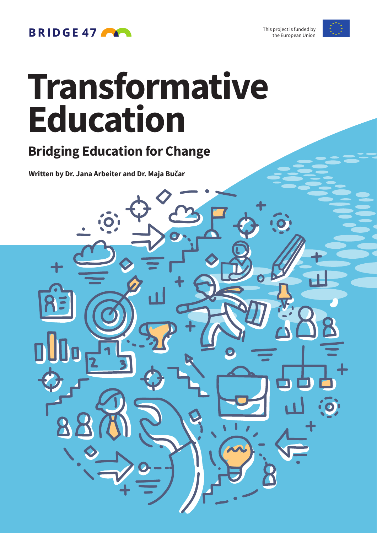

### **BRIDGE 47**

# **Transformative Education**

### **Bridging Education for Change**

**Written by Dr. Jana Arbeiter and Dr. Maja Bučar**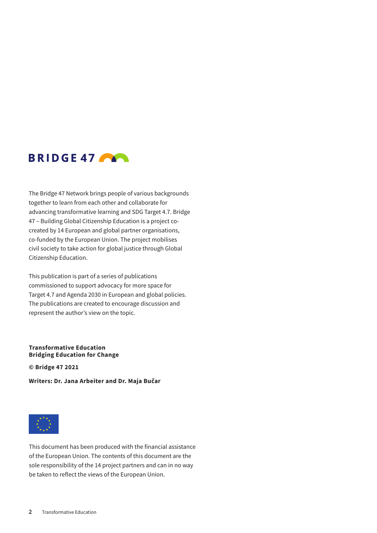

The Bridge 47 Network brings people of various backgrounds together to learn from each other and collaborate for advancing transformative learning and SDG Target 4.7. Bridge 47 – Building Global Citizenship Education is a project cocreated by 14 European and global partner organisations, co-funded by the European Union. The project mobilises civil society to take action for global justice through Global Citizenship Education.

This publication is part of a series of publications commissioned to support advocacy for more space for Target 4.7 and Agenda 2030 in European and global policies. The publications are created to encourage discussion and represent the author's view on the topic.

#### **Transformative Education Bridging Education for Change**

**© Bridge 47 2021**

**Writers: Dr. Jana Arbeiter and Dr. Maja Bučar**



This document has been produced with the financial assistance of the European Union. The contents of this document are the sole responsibility of the 14 project partners and can in no way be taken to reflect the views of the European Union.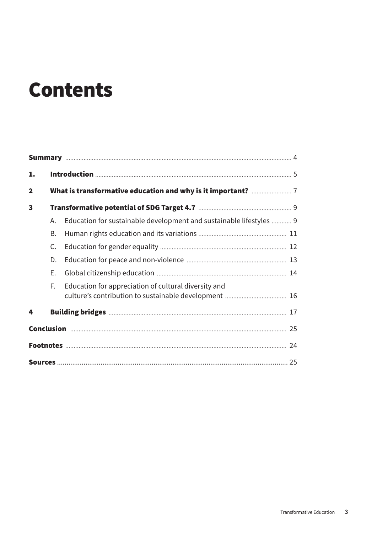### **Contents**

| 1.                      |    |                                                                     |  |  |  |  |
|-------------------------|----|---------------------------------------------------------------------|--|--|--|--|
| $\overline{\mathbf{2}}$ |    |                                                                     |  |  |  |  |
| $\mathbf{3}$            |    |                                                                     |  |  |  |  |
|                         | А. | Education for sustainable development and sustainable lifestyles  9 |  |  |  |  |
|                         | В. |                                                                     |  |  |  |  |
|                         | C. |                                                                     |  |  |  |  |
|                         | D. |                                                                     |  |  |  |  |
|                         | Е. |                                                                     |  |  |  |  |
|                         | F. | Education for appreciation of cultural diversity and                |  |  |  |  |
| 4                       |    |                                                                     |  |  |  |  |
|                         |    |                                                                     |  |  |  |  |
|                         |    |                                                                     |  |  |  |  |
|                         |    |                                                                     |  |  |  |  |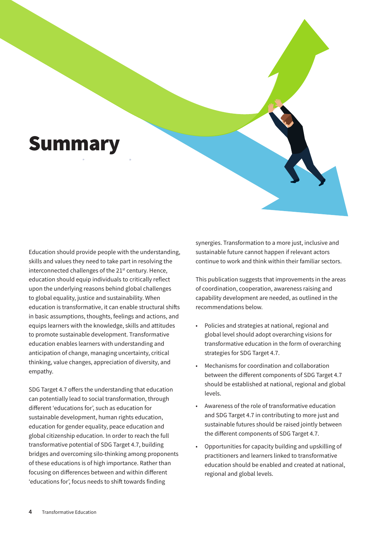### <span id="page-3-0"></span>**Summary**

Education should provide people with the understanding, skills and values they need to take part in resolving the interconnected challenges of the 21<sup>st</sup> century. Hence, education should equip individuals to critically reflect upon the underlying reasons behind global challenges to global equality, justice and sustainability. When education is transformative, it can enable structural shifts in basic assumptions, thoughts, feelings and actions, and equips learners with the knowledge, skills and attitudes to promote sustainable development. Transformative education enables learners with understanding and anticipation of change, managing uncertainty, critical thinking, value changes, appreciation of diversity, and empathy.

SDG Target 4.7 offers the understanding that education can potentially lead to social transformation, through different 'educations for', such as education for sustainable development, human rights education, education for gender equality, peace education and global citizenship education. In order to reach the full transformative potential of SDG Target 4.7, building bridges and overcoming silo-thinking among proponents of these educations is of high importance. Rather than focusing on differences between and within different 'educations for', focus needs to shift towards finding

synergies. Transformation to a more just, inclusive and sustainable future cannot happen if relevant actors continue to work and think within their familiar sectors.

This publication suggests that improvements in the areas of coordination, cooperation, awareness raising and capability development are needed, as outlined in the recommendations below.

- Policies and strategies at national, regional and global level should adopt overarching visions for transformative education in the form of overarching strategies for SDG Target 4.7.
- Mechanisms for coordination and collaboration between the different components of SDG Target 4.7 should be established at national, regional and global levels.
- Awareness of the role of transformative education and SDG Target 4.7 in contributing to more just and sustainable futures should be raised jointly between the different components of SDG Target 4.7.
- Opportunities for capacity building and upskilling of practitioners and learners linked to transformative education should be enabled and created at national, regional and global levels.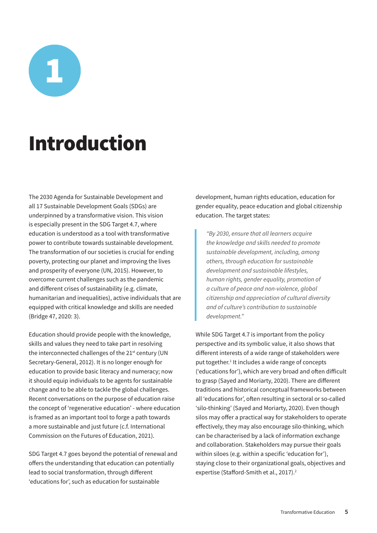<span id="page-4-0"></span>1

## Introduction

The 2030 Agenda for Sustainable Development and all 17 Sustainable Development Goals (SDGs) are underpinned by a transformative vision. This vision is especially present in the SDG Target 4.7, where education is understood as a tool with transformative power to contribute towards sustainable development. The transformation of our societies is crucial for ending poverty, protecting our planet and improving the lives and prosperity of everyone (UN, 2015). However, to overcome current challenges such as the pandemic and different crises of sustainability (e.g. climate, humanitarian and inequalities), active individuals that are equipped with critical knowledge and skills are needed (Bridge 47, 2020: 3).

Education should provide people with the knowledge, skills and values they need to take part in resolving the interconnected challenges of the 21<sup>st</sup> century (UN Secretary-General, 2012). It is no longer enough for education to provide basic literacy and numeracy; now it should equip individuals to be agents for sustainable change and to be able to tackle the global challenges. Recent conversations on the purpose of education raise the concept of 'regenerative education' - where education is framed as an important tool to forge a path towards a more sustainable and just future (c.f. International Commission on the Futures of Education, 2021).

SDG Target 4.7 goes beyond the potential of renewal and offers the understanding that education can potentially lead to social transformation, through different 'educations for', such as education for sustainable

development, human rights education, education for gender equality, peace education and global citizenship education. The target states:

*"By 2030, ensure that all learners acquire the knowledge and skills needed to promote sustainable development, including, among others, through education for sustainable development and sustainable lifestyles, human rights, gender equality, promotion of a culture of peace and non-violence, global citizenship and appreciation of cultural diversity and of culture's contribution to sustainable development."*

While SDG Target 4.7 is important from the policy perspective and its symbolic value, it also shows that different interests of a wide range of stakeholders were put together.<sup>1</sup> It includes a wide range of concepts ('educations for'), which are very broad and often difficult to grasp (Sayed and Moriarty, 2020). There are different traditions and historical conceptual frameworks between all 'educations for', often resulting in sectoral or so-called 'silo-thinking' (Sayed and Moriarty, 2020). Even though silos may offer a practical way for stakeholders to operate effectively, they may also encourage silo-thinking, which can be characterised by a lack of information exchange and collaboration. Stakeholders may pursue their goals within siloes (e.g. within a specific 'education for'), staying close to their organizational goals, objectives and expertise (Stafford-Smith et al., 2017).<sup>2</sup>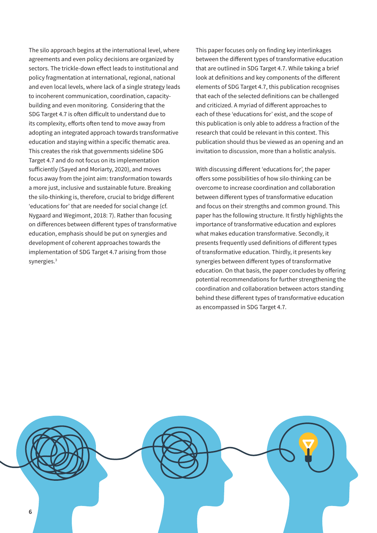The silo approach begins at the international level, where agreements and even policy decisions are organized by sectors. The trickle-down effect leads to institutional and policy fragmentation at international, regional, national and even local levels, where lack of a single strategy leads to incoherent communication, coordination, capacitybuilding and even monitoring. Considering that the SDG Target 4.7 is often difficult to understand due to its complexity, efforts often tend to move away from adopting an integrated approach towards transformative education and staying within a specific thematic area. This creates the risk that governments sideline SDG Target 4.7 and do not focus on its implementation sufficiently (Sayed and Moriarty, 2020), and moves focus away from the joint aim: transformation towards a more just, inclusive and sustainable future. Breaking the silo-thinking is, therefore, crucial to bridge different 'educations for' that are needed for social change (cf. Nygaard and Wegimont, 2018: 7). Rather than focusing on differences between different types of transformative education, emphasis should be put on synergies and development of coherent approaches towards the implementation of SDG Target 4.7 arising from those synergies.<sup>3</sup>

This paper focuses only on finding key interlinkages between the different types of transformative education that are outlined in SDG Target 4.7. While taking a brief look at definitions and key components of the different elements of SDG Target 4.7, this publication recognises that each of the selected definitions can be challenged and criticized. A myriad of different approaches to each of these 'educations for' exist, and the scope of this publication is only able to address a fraction of the research that could be relevant in this context. This publication should thus be viewed as an opening and an invitation to discussion, more than a holistic analysis.

With discussing different 'educations for', the paper offers some possibilities of how silo-thinking can be overcome to increase coordination and collaboration between different types of transformative education and focus on their strengths and common ground. This paper has the following structure. It firstly highlights the importance of transformative education and explores what makes education transformative. Secondly, it presents frequently used definitions of different types of transformative education. Thirdly, it presents key synergies between different types of transformative education. On that basis, the paper concludes by offering potential recommendations for further strengthening the coordination and collaboration between actors standing behind these different types of transformative education as encompassed in SDG Target 4.7.

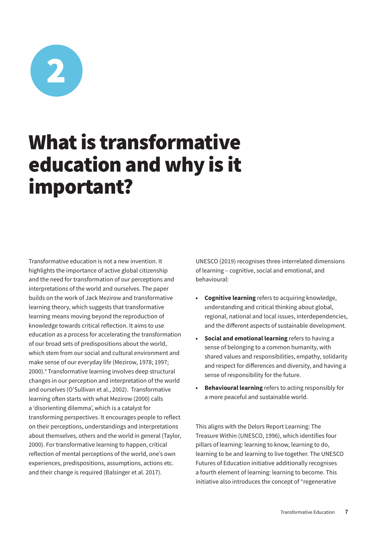<span id="page-6-0"></span>

### What is transformative education and why is it important?

Transformative education is not a new invention. It highlights the importance of active global citizenship and the need for transformation of our perceptions and interpretations of the world and ourselves. The paper builds on the work of Jack Mezirow and transformative learning theory, which suggests that transformative learning means moving beyond the reproduction of knowledge towards critical reflection. It aims to use education as a process for accelerating the transformation of our broad sets of predispositions about the world, which stem from our social and cultural environment and make sense of our everyday life (Mezirow, 1978; 1997; 2000).4 Transformative learning involves deep structural changes in our perception and interpretation of the world and ourselves (O'Sullivan et al., 2002). Transformative learning often starts with what Mezirow (2000) calls a 'disorienting dilemma', which is a catalyst for transforming perspectives. It encourages people to reflect on their perceptions, understandings and interpretations about themselves, others and the world in general (Taylor, 2000). For transformative learning to happen, critical reflection of mental perceptions of the world, one's own experiences, predispositions, assumptions, actions etc. and their change is required (Balsinger et al. 2017).

UNESCO (2019) recognises three interrelated dimensions of learning – cognitive, social and emotional, and behavioural:

- **• Cognitive learning** refers to acquiring knowledge, understanding and critical thinking about global, regional, national and local issues, interdependencies, and the different aspects of sustainable development.
- **• Social and emotional learning** refers to having a sense of belonging to a common humanity, with shared values and responsibilities, empathy, solidarity and respect for differences and diversity, and having a sense of responsibility for the future.
- **• Behavioural learning** refers to acting responsibly for a more peaceful and sustainable world.

This aligns with the Delors Report Learning: The Treasure Within (UNESCO, 1996), which identifies four pillars of learning: learning to know, learning to do, learning to be and learning to live together. The UNESCO Futures of Education initiative additionally recognises a fourth element of learning: learning to become. This initiative also introduces the concept of "regenerative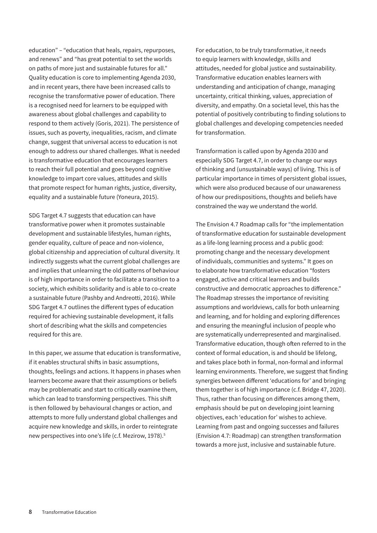education" – "education that heals, repairs, repurposes, and renews" and "has great potential to set the worlds on paths of more just and sustainable futures for all." Quality education is core to implementing Agenda 2030, and in recent years, there have been increased calls to recognise the transformative power of education. There is a recognised need for learners to be equipped with awareness about global challenges and capability to respond to them actively (Goris, 2021). The persistence of issues, such as poverty, inequalities, racism, and climate change, suggest that universal access to education is not enough to address our shared challenges. What is needed is transformative education that encourages learners to reach their full potential and goes beyond cognitive knowledge to impart core values, attitudes and skills that promote respect for human rights, justice, diversity, equality and a sustainable future (Yoneura, 2015).

SDG Target 4.7 suggests that education can have transformative power when it promotes sustainable development and sustainable lifestyles, human rights, gender equality, culture of peace and non-violence, global citizenship and appreciation of cultural diversity. It indirectly suggests what the current global challenges are and implies that unlearning the old patterns of behaviour is of high importance in order to facilitate a transition to a society, which exhibits solidarity and is able to co-create a sustainable future (Pashby and Andreotti, 2016). While SDG Target 4.7 outlines the different types of education required for achieving sustainable development, it falls short of describing what the skills and competencies required for this are.

In this paper, we assume that education is transformative, if it enables structural shifts in basic assumptions, thoughts, feelings and actions. It happens in phases when learners become aware that their assumptions or beliefs may be problematic and start to critically examine them, which can lead to transforming perspectives. This shift is then followed by behavioural changes or action, and attempts to more fully understand global challenges and acquire new knowledge and skills, in order to reintegrate new perspectives into one's life (c.f. Mezirow, 1978).<sup>5</sup>

For education, to be truly transformative, it needs to equip learners with knowledge, skills and attitudes, needed for global justice and sustainability. Transformative education enables learners with understanding and anticipation of change, managing uncertainty, critical thinking, values, appreciation of diversity, and empathy. On a societal level, this has the potential of positively contributing to finding solutions to global challenges and developing competencies needed for transformation.

Transformation is called upon by Agenda 2030 and especially SDG Target 4.7, in order to change our ways of thinking and (unsustainable ways) of living. This is of particular importance in times of persistent global issues, which were also produced because of our unawareness of how our predispositions, thoughts and beliefs have constrained the way we understand the world.

The Envision 4.7 Roadmap calls for "the implementation of transformative education for sustainable development as a life-long learning process and a public good: promoting change and the necessary development of individuals, communities and systems." It goes on to elaborate how transformative education "fosters engaged, active and critical learners and builds constructive and democratic approaches to difference." The Roadmap stresses the importance of revisiting assumptions and worldviews, calls for both unlearning and learning, and for holding and exploring differences and ensuring the meaningful inclusion of people who are systematically underrepresented and marginalised. Transformative education, though often referred to in the context of formal education, is and should be lifelong, and takes place both in formal, non-formal and informal learning environments. Therefore, we suggest that finding synergies between different 'educations for' and bringing them together is of high importance (c.f. Bridge 47, 2020). Thus, rather than focusing on differences among them, emphasis should be put on developing joint learning objectives, each 'education for' wishes to achieve. Learning from past and ongoing successes and failures (Envision 4.7: Roadmap) can strengthen transformation towards a more just, inclusive and sustainable future.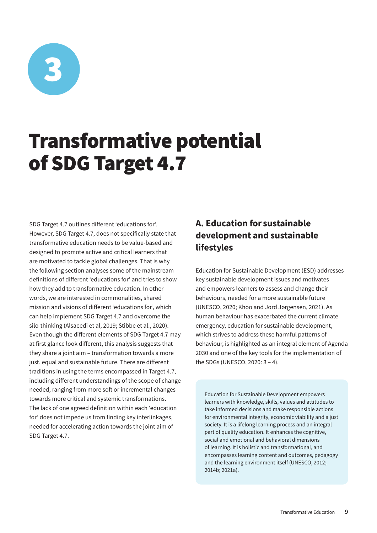<span id="page-8-0"></span>

### Transformative potential of SDG Target 4.7

SDG Target 4.7 outlines different 'educations for'. However, SDG Target 4.7, does not specifically state that transformative education needs to be value-based and designed to promote active and critical learners that are motivated to tackle global challenges. That is why the following section analyses some of the mainstream definitions of different 'educations for' and tries to show how they add to transformative education. In other words, we are interested in commonalities, shared mission and visions of different 'educations for', which can help implement SDG Target 4.7 and overcome the silo-thinking (Alsaeedi et al, 2019; Stibbe et al., 2020). Even though the different elements of SDG Target 4.7 may at first glance look different, this analysis suggests that they share a joint aim – transformation towards a more just, equal and sustainable future. There are different traditions in using the terms encompassed in Target 4.7, including different understandings of the scope of change needed, ranging from more soft or incremental changes towards more critical and systemic transformations. The lack of one agreed definition within each 'education for' does not impede us from finding key interlinkages, needed for accelerating action towards the joint aim of SDG Target 4.7.

#### A. Education for sustainable development and sustainable lifestyles

Education for Sustainable Development (ESD) addresses key sustainable development issues and motivates and empowers learners to assess and change their behaviours, needed for a more sustainable future (UNESCO, 2020; Khoo and Jord Jørgensen, 2021). As human behaviour has exacerbated the current climate emergency, education for sustainable development, which strives to address these harmful patterns of behaviour, is highlighted as an integral element of Agenda 2030 and one of the key tools for the implementation of the SDGs (UNESCO, 2020: 3 – 4).

Education for Sustainable Development empowers learners with knowledge, skills, values and attitudes to take informed decisions and make responsible actions for environmental integrity, economic viability and a just society. It is a lifelong learning process and an integral part of quality education. It enhances the cognitive, social and emotional and behavioral dimensions of learning. It is holistic and transformational, and encompasses learning content and outcomes, pedagogy and the learning environment itself (UNESCO, 2012; 2014b; 2021a).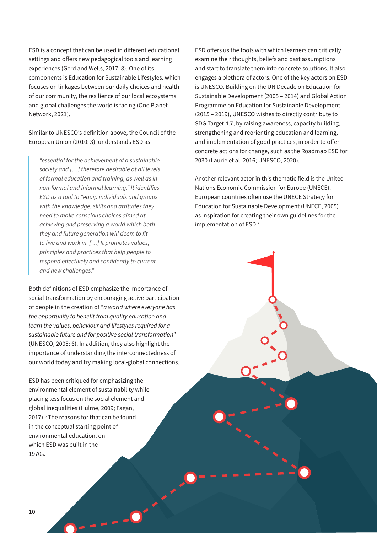ESD is a concept that can be used in different educational settings and offers new pedagogical tools and learning experiences (Gerd and Wells, 2017: 8). One of its components is Education for Sustainable Lifestyles*,* which focuses on linkages between our daily choices and health of our community, the resilience of our local ecosystems and global challenges the world is facing (One Planet Network, 2021).

Similar to UNESCO's definition above, the Council of the European Union (2010: 3), understands ESD as

*"essential for the achievement of a sustainable society and […] therefore desirable at all levels of formal education and training, as well as in non-formal and informal learning." It identifies ESD as a tool to "equip individuals and groups with the knowledge, skills and attitudes they need to make conscious choices aimed at achieving and preserving a world which both they and future generation will deem to fit to live and work in. […] It promotes values, principles and practices that help people to respond effectively and confidently to current and new challenges."* 

Both definitions of ESD emphasize the importance of social transformation by encouraging active participation of people in the creation of "*a world where everyone has the opportunity to benefit from quality education and learn the values, behaviour and lifestyles required for a sustainable future and for positive social transformation*" (UNESCO, 2005: 6). In addition, they also highlight the importance of understanding the interconnectedness of our world today and try making local-global connections.

ESD has been critiqued for emphasizing the environmental element of sustainability while placing less focus on the social element and global inequalities (Hulme, 2009; Fagan, 2017).<sup>6</sup> The reasons for that can be found in the conceptual starting point of environmental education, on which ESD was built in the 1970s.

ESD offers us the tools with which learners can critically examine their thoughts, beliefs and past assumptions and start to translate them into concrete solutions. It also engages a plethora of actors. One of the key actors on ESD is UNESCO. Building on the UN Decade on Education for Sustainable Development (2005 – 2014) and Global Action Programme on Education for Sustainable Development (2015 – 2019), UNESCO wishes to directly contribute to SDG Target 4.7, by raising awareness, capacity building, strengthening and reorienting education and learning, and implementation of good practices, in order to offer concrete actions for change, such as the Roadmap ESD for 2030 (Laurie et al, 2016; UNESCO, 2020).

Another relevant actor in this thematic field is the United Nations Economic Commission for Europe (UNECE). European countries often use the UNECE Strategy for Education for Sustainable Development (UNECE, 2005) as inspiration for creating their own guidelines for the implementation of ESD.7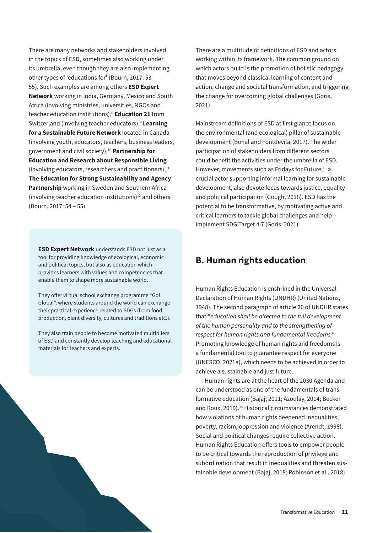<span id="page-10-0"></span>There are many networks and stakeholders involved in the topics of ESD, sometimes also working under its umbrella, even though they are also implementing other types of 'educations for' (Bourn, 2017: 53 – 55). Such examples are among others **ESD Expert Network** working in India, Germany, Mexico and South Africa (involving ministries, universities, NGOs and teacher education institutions),8 **Education 21** from Switzerland (involving teacher educators),9 **Learning for a Sustainable Future Network** located in Canada (involving youth, educators, teachers, business leaders, government and civil society),10 **Partnership for Education and Research about Responsible Living** (involving educators, researchers and practitioners), $11$ **The Education for Strong Sustainability and Agency Partnership** working in Sweden and Southern Africa (involving teacher education institutions) $12$  and others (Bourn, 2017: 54 – 55).

**ESD Expert Network** understands ESD not just as a tool for providing knowledge of ecological, economic and political topics, but also as education which provides learners with values and competencies that enable them to shape more sustainable world.

They offer virtual school exchange programme "Go! Global", where students around the world can exchange their practical experience related to SDGs (from food production, plant diversity, cultures and traditions etc.).

They also train people to become motivated multipliers of ESD and constantly develop teaching and educational materials for teachers and experts.

There are a multitude of definitions of ESD and actors working within its framework. The common ground on which actors build is the promotion of holistic pedagogy that moves beyond classical learning of content and action, change and societal transformation, and triggering the change for overcoming global challenges (Goris, 2021).

Mainstream definitions of ESD at first glance focus on the environmental (and ecological) pillar of sustainable development (Bonal and Fontdevila, 2017). The wider participation of stakeholders from different sectors could benefit the activities under the umbrella of ESD. However, movements such as Fridays for Future,<sup>13</sup> a crucial actor supporting informal learning for sustainable development, also devote focus towards justice, equality and political participation (Gough, 2018). ESD has the potential to be transformative, by motivating active and critical learners to tackle global challenges and help implement SDG Target 4.7 (Goris, 2021).

#### B. Human rights education

Human Rights Education is enshrined in the Universal Declaration of Human Rights (UNDHR) (United Nations, 1948). The second paragraph of article 26 of UNDHR states that "*education shall be directed to the full development of the human personality and to the strengthening of respect for human rights and fundamental freedoms.*" Promoting knowledge of human rights and freedoms is a fundamental tool to guarantee respect for everyone (UNESCO, 2021a), which needs to be achieved in order to achieve a sustainable and just future.

Human rights are at the heart of the 2030 Agenda and can be understood as one of the fundamentals of transformative education (Bajaj, 2011; Azoulay, 2014; Becker and Roux, 2019).<sup>14</sup> Historical circumstances demonstrated how violations of human rights deepened inequalities, poverty, racism, oppression and violence (Arendt, 1998). Social and political changes require collective action. Human Rights Education offers tools to empower people to be critical towards the reproduction of privilege and subordination that result in inequalities and threaten sustainable development (Bajaj, 2018; Robinson et al., 2018).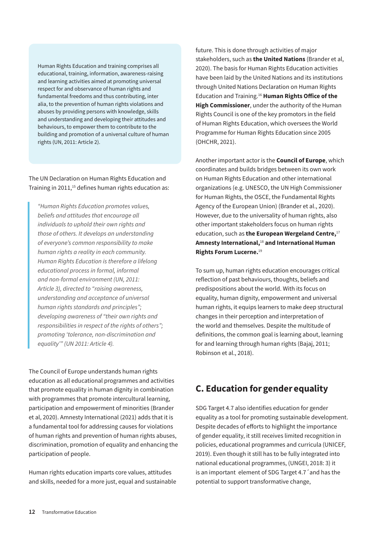<span id="page-11-0"></span>Human Rights Education and training comprises all educational, training, information, awareness-raising and learning activities aimed at promoting universal respect for and observance of human rights and fundamental freedoms and thus contributing, inter alia, to the prevention of human rights violations and abuses by providing persons with knowledge, skills and understanding and developing their attitudes and behaviours, to empower them to contribute to the building and promotion of a universal culture of human rights (UN, 2011: Article 2).

#### The UN Declaration on Human Rights Education and Training in 2011,<sup>15</sup> defines human rights education as:

*"Human Rights Education promotes values, beliefs and attitudes that encourage all individuals to uphold their own rights and those of others. It develops an understanding of everyone's common responsibility to make human rights a reality in each community. Human Rights Education is therefore a lifelong educational process in formal, informal and non-formal environment (UN, 2011: Article 3), directed to "raising awareness, understanding and acceptance of universal human rights standards and principles"; developing awareness of "their own rights and responsibilities in respect of the rights of others"; promoting 'tolerance, non-discrimination and equality'" (UN 2011: Article 4).* 

The Council of Europe understands human rights education as all educational programmes and activities that promote equality in human dignity in combination with programmes that promote intercultural learning, participation and empowerment of minorities (Brander et al, 2020). Amnesty International (2021) adds that it is a fundamental tool for addressing causes for violations of human rights and prevention of human rights abuses, discrimination, promotion of equality and enhancing the participation of people.

Human rights education imparts core values, attitudes and skills, needed for a more just, equal and sustainable future. This is done through activities of major stakeholders, such as **the United Nations** (Brander et al, 2020). The basis for Human Rights Education activities have been laid by the United Nations and its institutions through United Nations Declaration on Human Rights Education and Training.16 **Human Rights Office of the High Commissioner**, under the authority of the Human Rights Council is one of the key promotors in the field of Human Rights Education, which oversees the World Programme for Human Rights Education since 2005 (OHCHR, 2021).

Another important actor is the **Council of Europe**, which coordinates and builds bridges between its own work on Human Rights Education and other international organizations (e.g. UNESCO, the UN High Commissioner for Human Rights, the OSCE, the Fundamental Rights Agency of the European Union) (Brander et al., 2020). However, due to the universality of human rights, also other important stakeholders focus on human rights education, such as **the European Wergeland Centre,**<sup>17</sup> **Amnesty International,**<sup>18</sup> **and International Human Rights Forum Lucerne.**<sup>19</sup>

To sum up, human rights education encourages critical reflection of past behaviours, thoughts, beliefs and predispositions about the world. With its focus on equality, human dignity, empowerment and universal human rights, it equips learners to make deep structural changes in their perception and interpretation of the world and themselves. Despite the multitude of definitions, the common goal is learning about, learning for and learning through human rights (Bajaj, 2011; Robinson et al., 2018).

#### C. Education for gender equality

SDG Target 4.7 also identifies education for gender equality as a tool for promoting sustainable development. Despite decades of efforts to highlight the importance of gender equality, it still receives limited recognition in policies, educational programmes and curricula (UNICEF, 2019). Even though it still has to be fully integrated into national educational programmes, (UNGEI, 2018: 3) it is an important element of SDG Target 4.7´and has the potential to support transformative change,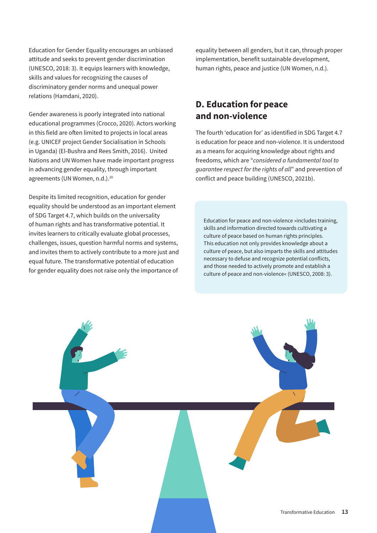<span id="page-12-0"></span>Education for Gender Equality encourages an unbiased attitude and seeks to prevent gender discrimination (UNESCO, 2018: 3). It equips learners with knowledge, skills and values for recognizing the causes of discriminatory gender norms and unequal power relations (Hamdani, 2020).

Gender awareness is poorly integrated into national educational programmes (Crocco, 2020). Actors working in this field are often limited to projects in local areas (e.g. UNICEF project Gender Socialisation in Schools in Uganda) (El-Bushra and Rees Smith, 2016). United Nations and UN Women have made important progress in advancing gender equality, through important agreements (UN Women, n.d.).<sup>20</sup>

Despite its limited recognition, education for gender equality should be understood as an important element of SDG Target 4.7, which builds on the universality of human rights and has transformative potential. It invites learners to critically evaluate global processes, challenges, issues, question harmful norms and systems, and invites them to actively contribute to a more just and equal future. The transformative potential of education for gender equality does not raise only the importance of

equality between all genders, but it can, through proper implementation, benefit sustainable development, human rights, peace and justice (UN Women, n.d.).

#### D. Education for peace and non-violence

The fourth 'education for' as identified in SDG Target 4.7 is education for peace and non-violence. It is understood as a means for acquiring knowledge about rights and freedoms, which are "*considered a fundamental tool to guarantee respect for the rights of all*" and prevention of conflict and peace building (UNESCO, 2021b).

Education for peace and non-violence »includes training, skills and information directed towards cultivating a culture of peace based on human rights principles. This education not only provides knowledge about a culture of peace, but also imparts the skills and attitudes necessary to defuse and recognize potential conflicts, and those needed to actively promote and establish a culture of peace and non-violence« (UNESCO, 2008: 3).

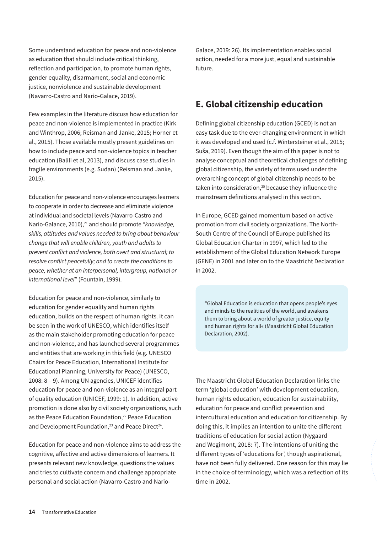<span id="page-13-0"></span>Some understand education for peace and non-violence as education that should include critical thinking, reflection and participation, to promote human rights, gender equality, disarmament, social and economic justice, nonviolence and sustainable development (Navarro-Castro and Nario-Galace, 2019).

Few examples in the literature discuss how education for peace and non-violence is implemented in practice (Kirk and Winthrop, 2006; Reisman and Janke, 2015; Horner et al., 2015). Those available mostly present guidelines on how to include peace and non-violence topics in teacher education (Balili et al, 2013), and discuss case studies in fragile environments (e.g. Sudan) (Reisman and Janke, 2015).

Education for peace and non-violence encourages learners to cooperate in order to decrease and eliminate violence at individual and societal levels (Navarro-Castro and Nario-Galance, 2010),<sup>21</sup> and should promote "knowledge, *skills, attitudes and values needed to bring about behaviour change that will enable children, youth and adults to prevent conflict and violence, both overt and structural; to resolve conflict peacefully; and to create the conditions to peace, whether at an interpersonal, intergroup, national or international level*" (Fountain, 1999).

Education for peace and non-violence, similarly to education for gender equality and human rights education, builds on the respect of human rights. It can be seen in the work of UNESCO, which identifies itself as the main stakeholder promoting education for peace and non-violence, and has launched several programmes and entities that are working in this field (e.g. UNESCO Chairs for Peace Education, International Institute for Educational Planning, University for Peace) (UNESCO, 2008: 8 – 9). Among UN agencies, UNICEF identifies education for peace and non-violence as an integral part of quality education (UNICEF, 1999: 1). In addition, active promotion is done also by civil society organizations, such as the Peace Education Foundation,<sup>22</sup> Peace Education and Development Foundation,<sup>23</sup> and Peace Direct<sup>24</sup>.

Education for peace and non-violence aims to address the cognitive, affective and active dimensions of learners. It presents relevant new knowledge, questions the values and tries to cultivate concern and challenge appropriate personal and social action (Navarro-Castro and NarioGalace, 2019: 26). Its implementation enables social action, needed for a more just, equal and sustainable future.

#### E. Global citizenship education

Defining global citizenship education (GCED) is not an easy task due to the ever-changing environment in which it was developed and used (c.f. Wintersteiner et al., 2015; Suša, 2019). Even though the aim of this paper is not to analyse conceptual and theoretical challenges of defining global citizenship, the variety of terms used under the overarching concept of global citizenship needs to be taken into consideration,<sup>25</sup> because they influence the mainstream definitions analysed in this section.

In Europe, GCED gained momentum based on active promotion from civil society organizations. The North-South Centre of the Council of Europe published its Global Education Charter in 1997, which led to the establishment of the Global Education Network Europe (GENE) in 2001 and later on to the Maastricht Declaration in 2002.

"Global Education is education that opens people's eyes and minds to the realities of the world, and awakens them to bring about a world of greater justice, equity and human rights for all« (Maastricht Global Education Declaration, 2002).

The Maastricht Global Education Declaration links the term 'global education' with development education, human rights education, education for sustainability, education for peace and conflict prevention and intercultural education and education for citizenship. By doing this, it implies an intention to unite the different traditions of education for social action (Nygaard and Wegimont, 2018: 7). The intentions of uniting the different types of 'educations for', though aspirational, have not been fully delivered. One reason for this may lie in the choice of terminology, which was a reflection of its time in 2002.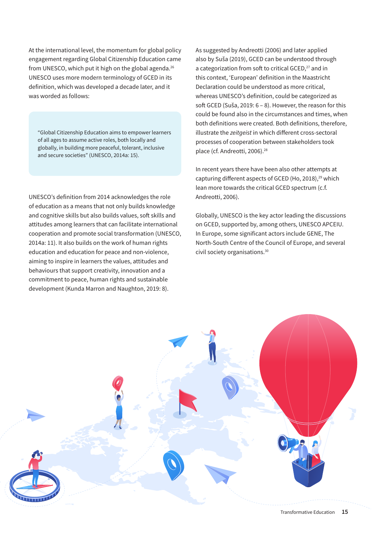At the international level, the momentum for global policy engagement regarding Global Citizenship Education came from UNESCO, which put it high on the global agenda.<sup>26</sup> UNESCO uses more modern terminology of GCED in its definition, which was developed a decade later, and it was worded as follows:

"Global Citizenship Education aims to empower learners of all ages to assume active roles, both locally and globally, in building more peaceful, tolerant, inclusive and secure societies" (UNESCO, 2014a: 15).

UNESCO's definition from 2014 acknowledges the role of education as a means that not only builds knowledge and cognitive skills but also builds values, soft skills and attitudes among learners that can facilitate international cooperation and promote social transformation (UNESCO, 2014a: 11). It also builds on the work of human rights education and education for peace and non-violence, aiming to inspire in learners the values, attitudes and behaviours that support creativity, innovation and a commitment to peace, human rights and sustainable development (Kunda Marron and Naughton, 2019: 8).

As suggested by Andreotti (2006) and later applied also by Suša (2019), GCED can be understood through a categorization from soft to critical GCED,<sup>27</sup> and in this context, 'European' definition in the Maastricht Declaration could be understood as more critical, whereas UNESCO's definition, could be categorized as soft GCED (Suša, 2019: 6 – 8). However, the reason for this could be found also in the circumstances and times, when both definitions were created. Both definitions, therefore, illustrate the *zeitgeist* in which different cross-sectoral processes of cooperation between stakeholders took place (cf. Andreotti, 2006).<sup>28</sup>

In recent years there have been also other attempts at capturing different aspects of GCED (Ho, 2018),<sup>29</sup> which lean more towards the critical GCED spectrum (c.f. Andreotti, 2006).

Globally, UNESCO is the key actor leading the discussions on GCED, supported by, among others, UNESCO APCEIU. In Europe, some significant actors include GENE, The North-South Centre of the Council of Europe, and several civil society organisations.30

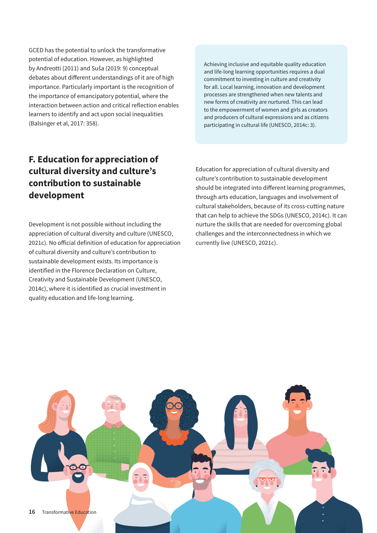<span id="page-15-0"></span>GCED has the potential to unlock the transformative potential of education. However, as highlighted by Andreotti (2011) and Suša (2019: 9) conceptual debates about different understandings of it are of high importance. Particularly important is the recognition of the importance of emancipatory potential, where the interaction between action and critical reflection enables learners to identify and act upon social inequalities (Balsinger et al, 2017: 358).

Achieving inclusive and equitable quality education and life-long learning opportunities requires a dual commitment to investing in culture and creativity for all. Local learning, innovation and development processes are strengthened when new talents and new forms of creativity are nurtured. This can lead to the empowerment of women and girls as creators and producers of cultural expressions and as citizens participating in cultural life (UNESCO, 2014c: 3).

#### F. Education for appreciation of cultural diversity and culture's contribution to sustainable development

Development is not possible without including the appreciation of cultural diversity and culture (UNESCO, 2021c). No official definition of education for appreciation of cultural diversity and culture's contribution to sustainable development exists. Its importance is identified in the Florence Declaration on Culture, Creativity and Sustainable Development (UNESCO, 2014c), where it is identified as crucial investment in quality education and life-long learning.

Education for appreciation of cultural diversity and culture's contribution to sustainable development should be integrated into different learning programmes, through arts education, languages and involvement of cultural stakeholders, because of its cross-cutting nature that can help to achieve the SDGs (UNESCO, 2014c). It can nurture the skills that are needed for overcoming global challenges and the interconnectedness in which we currently live (UNESCO, 2021c).

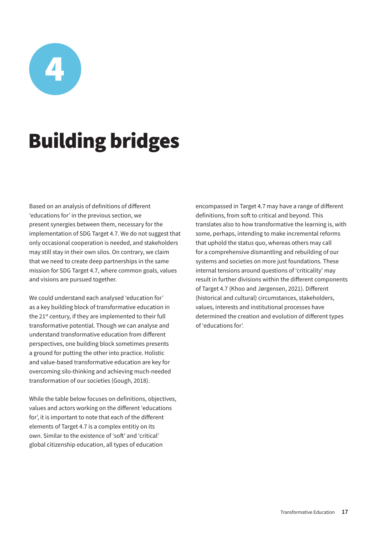<span id="page-16-0"></span>

### Building bridges

Based on an analysis of definitions of different 'educations for' in the previous section, we present synergies between them, necessary for the implementation of SDG Target 4.7. We do not suggest that only occasional cooperation is needed, and stakeholders may still stay in their own silos. On contrary, we claim that we need to create deep partnerships in the same mission for SDG Target 4.7, where common goals, values and visions are pursued together.

We could understand each analysed 'education for' as a key building block of transformative education in the 21<sup>st</sup> century, if they are implemented to their full transformative potential. Though we can analyse and understand transformative education from different perspectives, one building block sometimes presents a ground for putting the other into practice. Holistic and value-based transformative education are key for overcoming silo-thinking and achieving much-needed transformation of our societies (Gough, 2018).

While the table below focuses on definitions, objectives, values and actors working on the different 'educations for', it is important to note that each of the different elements of Target 4.7 is a complex entitiy on its own. Similar to the existence of 'soft' and 'critical' global citizenship education, all types of education

encompassed in Target 4.7 may have a range of different definitions, from soft to critical and beyond. This translates also to how transformative the learning is, with some, perhaps, intending to make incremental reforms that uphold the status quo, whereas others may call for a comprehensive dismantling and rebuilding of our systems and societies on more just foundations. These internal tensions around questions of 'criticality' may result in further divisions within the different components of Target 4.7 (Khoo and Jørgensen, 2021). Different (historical and cultural) circumstances, stakeholders, values, interests and institutional processes have determined the creation and evolution of different types of 'educations for'.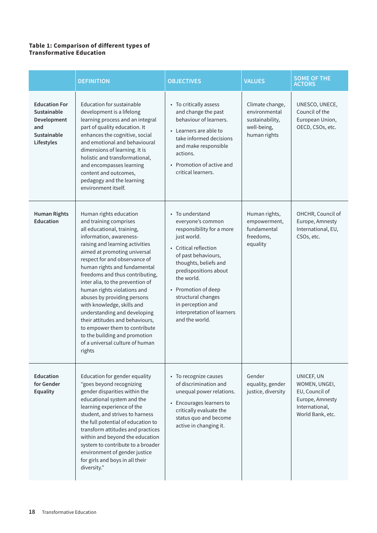#### **Table 1: Comparison of different types of Transformative Education**

|                                                                                        | <b>DEFINITION</b>                                                                                                                                                                                                                                                                                                                                                                                                                                                                                                                                                                                  | <b>OBJECTIVES</b>                                                                                                                                                                                                                                                                                                  | <b>VALUES</b>                                                                      | <b>SOME OF THE</b><br><b>ACTORS</b>                                                                    |
|----------------------------------------------------------------------------------------|----------------------------------------------------------------------------------------------------------------------------------------------------------------------------------------------------------------------------------------------------------------------------------------------------------------------------------------------------------------------------------------------------------------------------------------------------------------------------------------------------------------------------------------------------------------------------------------------------|--------------------------------------------------------------------------------------------------------------------------------------------------------------------------------------------------------------------------------------------------------------------------------------------------------------------|------------------------------------------------------------------------------------|--------------------------------------------------------------------------------------------------------|
| <b>Education For</b><br>Sustainable<br>Development<br>and<br>Sustainable<br>Lifestyles | <b>Education for sustainable</b><br>development is a lifelong<br>learning process and an integral<br>part of quality education. It<br>enhances the cognitive, social<br>and emotional and behavioural<br>dimensions of learning. It is<br>holistic and transformational,<br>and encompasses learning<br>content and outcomes,<br>pedagogy and the learning<br>environment itself.                                                                                                                                                                                                                  | • To critically assess<br>and change the past<br>behaviour of learners.<br>• Learners are able to<br>take informed decisions<br>and make responsible<br>actions.<br>Promotion of active and<br>critical learners.                                                                                                  | Climate change,<br>environmental<br>sustainability,<br>well-being,<br>human rights | UNESCO, UNECE,<br>Council of the<br>European Union,<br>OECD, CSOs, etc.                                |
| <b>Human Rights</b><br><b>Education</b>                                                | Human rights education<br>and training comprises<br>all educational, training,<br>information, awareness-<br>raising and learning activities<br>aimed at promoting universal<br>respect for and observance of<br>human rights and fundamental<br>freedoms and thus contributing,<br>inter alia, to the prevention of<br>human rights violations and<br>abuses by providing persons<br>with knowledge, skills and<br>understanding and developing<br>their attitudes and behaviours,<br>to empower them to contribute<br>to the building and promotion<br>of a universal culture of human<br>rights | • To understand<br>everyone's common<br>responsibility for a more<br>just world.<br>• Critical reflection<br>of past behaviours,<br>thoughts, beliefs and<br>predispositions about<br>the world.<br>• Promotion of deep<br>structural changes<br>in perception and<br>interpretation of learners<br>and the world. | Human rights,<br>empowerment,<br>fundamental<br>freedoms,<br>equality              | OHCHR, Council of<br>Europe, Amnesty<br>International, EU,<br>CSOs, etc.                               |
| <b>Education</b><br>for Gender<br><b>Equality</b>                                      | Education for gender equality<br>"goes beyond recognizing<br>gender disparities within the<br>educational system and the<br>learning experience of the<br>student, and strives to harness<br>the full potential of education to<br>transform attitudes and practices<br>within and beyond the education<br>system to contribute to a broader<br>environment of gender justice<br>for girls and boys in all their<br>diversity."                                                                                                                                                                    | • To recognize causes<br>of discrimination and<br>unequal power relations.<br>• Encourages learners to<br>critically evaluate the<br>status quo and become<br>active in changing it.                                                                                                                               | Gender<br>equality, gender<br>justice, diversity                                   | UNICEF, UN<br>WOMEN, UNGEI,<br>EU, Council of<br>Europe, Amnesty<br>International,<br>World Bank, etc. |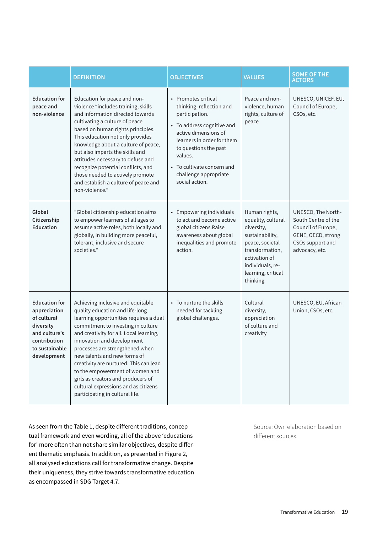|                                                                                                                                    | <b>DEFINITION</b>                                                                                                                                                                                                                                                                                                                                                                                                                                                                              | <b>OBJECTIVES</b>                                                                                                                                                                                                                                                | <b>VALUES</b>                                                                                                                                                                     | <b>SOME OF THE</b><br><b>ACTORS</b>                                                                                         |
|------------------------------------------------------------------------------------------------------------------------------------|------------------------------------------------------------------------------------------------------------------------------------------------------------------------------------------------------------------------------------------------------------------------------------------------------------------------------------------------------------------------------------------------------------------------------------------------------------------------------------------------|------------------------------------------------------------------------------------------------------------------------------------------------------------------------------------------------------------------------------------------------------------------|-----------------------------------------------------------------------------------------------------------------------------------------------------------------------------------|-----------------------------------------------------------------------------------------------------------------------------|
| <b>Education for</b><br>peace and<br>non-violence                                                                                  | Education for peace and non-<br>violence "includes training, skills<br>and information directed towards<br>cultivating a culture of peace<br>based on human rights principles.<br>This education not only provides<br>knowledge about a culture of peace,<br>but also imparts the skills and<br>attitudes necessary to defuse and<br>recognize potential conflicts, and<br>those needed to actively promote<br>and establish a culture of peace and<br>non-violence."                          | • Promotes critical<br>thinking, reflection and<br>participation.<br>• To address cognitive and<br>active dimensions of<br>learners in order for them<br>to questions the past<br>values.<br>To cultivate concern and<br>challenge appropriate<br>social action. | Peace and non-<br>violence, human<br>rights, culture of<br>peace                                                                                                                  | UNESCO, UNICEF, EU,<br>Council of Europe,<br>CSOs, etc.                                                                     |
| Global<br>Citizenship<br><b>Education</b>                                                                                          | "Global citizenship education aims<br>to empower learners of all ages to<br>assume active roles, both locally and<br>globally, in building more peaceful,<br>tolerant, inclusive and secure<br>societies."                                                                                                                                                                                                                                                                                     | <b>Empowering individuals</b><br>$\bullet$<br>to act and become active<br>global citizens.Raise<br>awareness about global<br>inequalities and promote<br>action.                                                                                                 | Human rights,<br>equality, cultural<br>diversity,<br>sustainability,<br>peace, societal<br>transformation,<br>activation of<br>individuals, re-<br>learning, critical<br>thinking | UNESCO, The North-<br>South Centre of the<br>Council of Europe,<br>GENE, OECD, strong<br>CSOs support and<br>advocacy, etc. |
| <b>Education for</b><br>appreciation<br>of cultural<br>diversity<br>and culture's<br>contribution<br>to sustainable<br>development | Achieving inclusive and equitable<br>quality education and life-long<br>learning opportunities requires a dual<br>commitment to investing in culture<br>and creativity for all. Local learning,<br>innovation and development<br>processes are strengthened when<br>new talents and new forms of<br>creativity are nurtured. This can lead<br>to the empowerment of women and<br>girls as creators and producers of<br>cultural expressions and as citizens<br>participating in cultural life. | • To nurture the skills<br>needed for tackling<br>global challenges.                                                                                                                                                                                             | Cultural<br>diversity,<br>appreciation<br>of culture and<br>creativity                                                                                                            | UNESCO, EU, African<br>Union, CSOs, etc.                                                                                    |

As seen from the Table 1, despite different traditions, conceptual framework and even wording, all of the above 'educations for' more often than not share similar objectives, despite different thematic emphasis. In addition, as presented in Figure 2, all analysed educations call for transformative change. Despite their uniqueness, they strive towards transformative education as encompassed in SDG Target 4.7.

Source: Own elaboration based on different sources.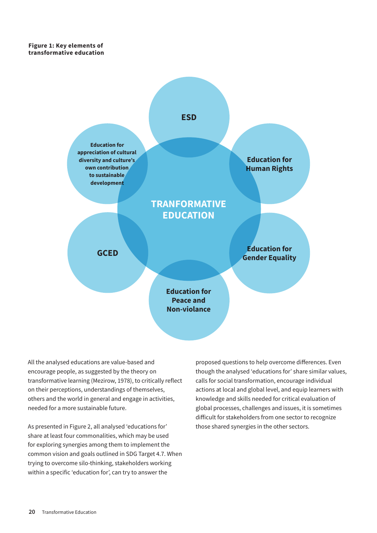**Figure 1: Key elements of transformative education**



All the analysed educations are value-based and encourage people, as suggested by the theory on transformative learning (Mezirow, 1978), to critically reflect on their perceptions, understandings of themselves, others and the world in general and engage in activities, needed for a more sustainable future.

As presented in Figure 2, all analysed 'educations for' share at least four commonalities, which may be used for exploring synergies among them to implement the common vision and goals outlined in SDG Target 4.7. When trying to overcome silo-thinking, stakeholders working within a specific 'education for', can try to answer the

proposed questions to help overcome differences. Even though the analysed 'educations for' share similar values, calls for social transformation, encourage individual actions at local and global level, and equip learners with knowledge and skills needed for critical evaluation of global processes, challenges and issues, it is sometimes difficult for stakeholders from one sector to recognize those shared synergies in the other sectors.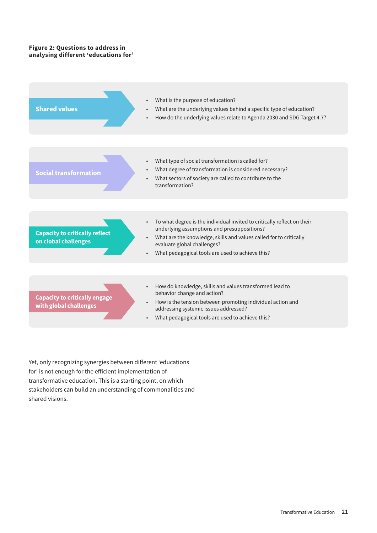#### **Figure 2: Questions to address in analysing different 'educations for'**



Yet, only recognizing synergies between different 'educations for' is not enough for the efficient implementation of transformative education. This is a starting point, on which stakeholders can build an understanding of commonalities and shared visions.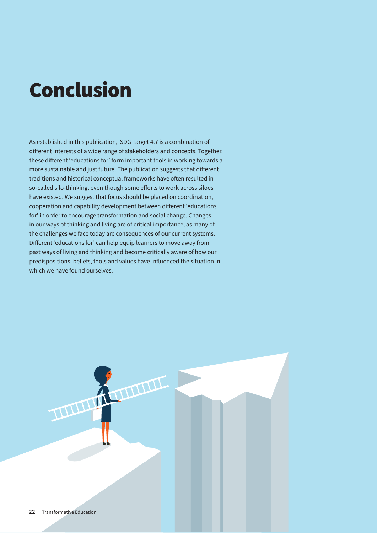### <span id="page-21-0"></span>Conclusion

As established in this publication, SDG Target 4.7 is a combination of different interests of a wide range of stakeholders and concepts. Together, these different 'educations for' form important tools in working towards a more sustainable and just future. The publication suggests that different traditions and historical conceptual frameworks have often resulted in so-called silo-thinking, even though some efforts to work across siloes have existed. We suggest that focus should be placed on coordination, cooperation and capability development between different 'educations for' in order to encourage transformation and social change. Changes in our ways of thinking and living are of critical importance, as many of the challenges we face today are consequences of our current systems. Different 'educations for' can help equip learners to move away from past ways of living and thinking and become critically aware of how our predispositions, beliefs, tools and values have influenced the situation in which we have found ourselves.

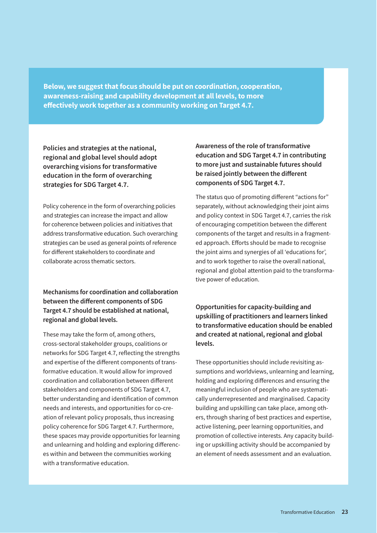**Below, we suggest that focus should be put on coordination, cooperation, awareness-raising and capability development at all levels, to more effectively work together as a community working on Target 4.7.**

**Policies and strategies at the national, regional and global level should adopt overarching visions for transformative education in the form of overarching strategies for SDG Target 4.7.**

Policy coherence in the form of overarching policies and strategies can increase the impact and allow for coherence between policies and initiatives that address transformative education. Such overarching strategies can be used as general points of reference for different stakeholders to coordinate and collaborate across thematic sectors.

**Mechanisms for coordination and collaboration between the different components of SDG Target 4.7 should be established at national, regional and global levels.**

These may take the form of, among others, cross-sectoral stakeholder groups, coalitions or networks for SDG Target 4.7, reflecting the strengths and expertise of the different components of transformative education. It would allow for improved coordination and collaboration between different stakeholders and components of SDG Target 4.7, better understanding and identification of common needs and interests, and opportunities for co-creation of relevant policy proposals, thus increasing policy coherence for SDG Target 4.7. Furthermore, these spaces may provide opportunities for learning and unlearning and holding and exploring differences within and between the communities working with a transformative education.

**Awareness of the role of transformative education and SDG Target 4.7 in contributing to more just and sustainable futures should be raised jointly between the different components of SDG Target 4.7.**

The status quo of promoting different "actions for" separately, without acknowledging their joint aims and policy context in SDG Target 4.7, carries the risk of encouraging competition between the different components of the target and results in a fragmented approach. Efforts should be made to recognise the joint aims and synergies of all 'educations for', and to work together to raise the overall national, regional and global attention paid to the transformative power of education.

**Opportunities for capacity-building and upskilling of practitioners and learners linked to transformative education should be enabled and created at national, regional and global levels.**

These opportunities should include revisiting assumptions and worldviews, unlearning and learning, holding and exploring differences and ensuring the meaningful inclusion of people who are systematically underrepresented and marginalised. Capacity building and upskilling can take place, among others, through sharing of best practices and expertise, active listening, peer learning opportunities, and promotion of collective interests. Any capacity building or upskilling activity should be accompanied by an element of needs assessment and an evaluation.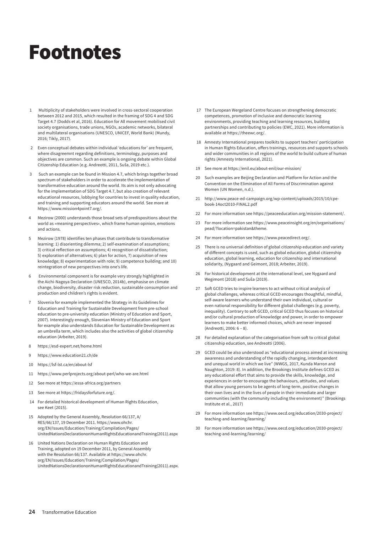### <span id="page-23-0"></span>Footnotes

- 1 Multiplicity of stakeholders were involved in cross-sectoral cooperation between 2012 and 2015, which resulted in the framing of SDG 4 and SDG Target 4.7 (Dodds et al, 2016). Education for All movement mobilised civil society organisations, trade unions, NGOs, academic networks, bilateral and multilateral organisations (UNESCO, UNICEF, World Bank) (Mundy, 2016; Tikly, 2017).
- 2 Even conceptual debates within individual 'educations for' are frequent, where disagreemnt regarding definitions, terminology, purposes and objectives are common. Such an example is ongoing debate within Global Citizenship Education (e.g. Andreotti, 2011, Suša, 2019 etc.).
- 3 Such an example can be found in Mission 4.7, which brings together broad spectrum of stakeholders in order to accelerate the implementation of transformative education around the world. Its aim is not only advocating for the implementation of SDG Target 4.7, but also creation of relevant educational resources, lobbying for countries to invest in quality education, and training and supporting educators around the world. See more at [https://www.mission4point7.org/.](https://www.mission4point7.org/)
- 4 Mezirow (2000) understands those broad sets of predispositions about the world as »meaning perspectives«, which frame human opinion, emotions and actions.
- 5 Mezirow (1978) identifies ten phases that contribute to transformative learning: 1) disorienting dilemma; 2) self-examination of assumptions; 3) critical reflection on assumptions; 4) recognition of dissatisfaction; 5) exploration of alternatives; 6) plan for action, 7) acquisition of new knowledge; 8) experimentation with role; 9) competence building; and 10) reintegration of new perspectives into one's life.
- 6 Environmental component is for example very strongly highlighted in the Aichi-Nagoya Declaration (UNESCO, 2014b), emphasise on climate change, biodiversity, disaster risk reduction, sustainable consumption and production and children's rights is evident.
- 7 Slovenia for example implemented the Strategy in its Guidelines for Education and Training for Sustainable Development from pre-school education to pre-university education (Ministry of Education and Sport, 2007). Interestingly enough, Slovenian Ministry of Education and Sport for example also understands Education for Sustainable Development as an umbrella term, which includes also the activities of global citizenship education (Arbeiter, 2019).
- 8 <https://esd-expert.net/home.html>
- 9 <https://www.education21.ch/de>
- 10 <https://lsf-lst.ca/en/about-lsf>
- 11 <https://www.perlprojects.org/about-perl/who-we-are.html>
- 12 See more at<https://essa-africa.org/partners>
- 13 See more at<https://fridaysforfuture.org/>.
- 14 For detailed historical development of Human Rights Education, see Keet (2015).
- 15 Adopted by the General Assembly, Resolution 66/137, A/ RES/66/137, 19 December 2011. [https://www.ohchr.](https://www.ohchr.org/EN/Issues/Education/Training/Compilation/Pages/UnitedNationsDeclarationonHumanRightsEducationandTraining(2011).aspx) [org/EN/Issues/Education/Training/Compilation/Pages/](https://www.ohchr.org/EN/Issues/Education/Training/Compilation/Pages/UnitedNationsDeclarationonHumanRightsEducationandTraining(2011).aspx) [UnitedNationsDeclarationonHumanRightsEducationandTraining\(2011\).aspx](https://www.ohchr.org/EN/Issues/Education/Training/Compilation/Pages/UnitedNationsDeclarationonHumanRightsEducationandTraining(2011).aspx)
- 16 United Nations Declaration on Human Rights Education and Training, adopted on 19 December 2011, by General Assembly with the Resolution 66/137. Available at [https://www.ohchr.](https://www.ohchr.org/EN/Issues/Education/Training/Compilation/Pages/UnitedNationsDeclarationonHumanRightsEducationandTraining(2011).aspx) [org/EN/Issues/Education/Training/Compilation/Pages/](https://www.ohchr.org/EN/Issues/Education/Training/Compilation/Pages/UnitedNationsDeclarationonHumanRightsEducationandTraining(2011).aspx) [UnitedNationsDeclarationonHumanRightsEducationandTraining\(2011\).aspx.](https://www.ohchr.org/EN/Issues/Education/Training/Compilation/Pages/UnitedNationsDeclarationonHumanRightsEducationandTraining(2011).aspx)
- 17 The European Wergeland Centre focuses on strengthening democratic competences, promotion of inclusive and democratic learning environments, providing teaching and learning resources, building partnerships and contributing to policies (EWC, 2021). More information is available at [https://theewc.org/.](https://theewc.org/)
- 18 Amnesty International prepares toolkits to support teachers' participation in Human Rights Education, offers trainings, resources and supports schools and wider communities in all regions of the world to build culture of human rights (Amnesty International, 2021).
- 19 See more at<https://enil.eu/about-enil/our-mission/>
- 20 Such examples are Beijing Declaration and Platform for Action and the Convention on the Elimination of All Forms of Discrimination against Women (UN Women, n.d.).
- 21 [http://www.peace-ed-campaign.org/wp-content/uploads/2015/10/cpe](http://www.peace-ed-campaign.org/wp-content/uploads/2015/10/cpe-book-14oct2010-FINAL2.pdf)[book-14oct2010-FINAL2.pdf](http://www.peace-ed-campaign.org/wp-content/uploads/2015/10/cpe-book-14oct2010-FINAL2.pdf)
- 22 For more information see<https://peaceeducation.org/mission-statement/>.
- 23 For more information see [https://www.peaceinsight.org/en/organisations/](https://www.peaceinsight.org/en/organisations/pead/?location=pakistan&theme) [pead/?location=pakistan&theme.](https://www.peaceinsight.org/en/organisations/pead/?location=pakistan&theme)
- 24 For more information see [https://www.peacedirect.org/.](https://www.peacedirect.org/)
- 25 There is no universal definition of global citizenship education and variety of different concepts is used, such as global education, global citizenship education, global learning, education for citizenship and international solidarity, (Nygaard and Geimont, 2018; Arbeiter, 2019).
- 26 For historical development at the international level, see Nygaard and Wegimont (2018) and Suša (2019).
- 27 Soft GCED tries to inspire learners to act without critical analysis of global challenges, whereas critical GCED encourages thoughtful, mindful, self-aware learners who understand their own individual, cultural or even national responsibility for different global challenges (e.g. poverty, inequality). Contrary to soft GCED, critical GCED thus focuses on historical and/or cultural production of knowledge and power, in order to empower learners to make better informed choices, which are never imposed (Andreotti, 2006: 6 – 8).
- 28 For detailed explanation of the categorisation from soft to critical global citizenship education, see Andreotti (2006).
- 29 GCED could be also understood as "educational process aimed at increasing awareness and understanding of the rapidly changing, interdependent and unequal world in which we live" (WWGS, 2017, Kunda Marron and Naughton, 2019: 8). In addition, the Brookings Institute defines GCED as any educational effort that aims to provide the skills, knowledge, and experiences in order to encourage the behaviours, attitudes, and values that allow young persons to be agents of long-term, positive changes in their own lives and in the lives of people in their immediate and larger communities (with the community including the environment)" (Brookings Institute et al., 2017)
- 29 For more information see [https://www.oecd.org/education/2030-project/](https://www.oecd.org/education/2030-project/teaching-and-learning/learning/) [teaching-and-learning/learning/](https://www.oecd.org/education/2030-project/teaching-and-learning/learning/)
- 30 For more information see [https://www.oecd.org/education/2030-project/](https://www.oecd.org/education/2030-project/teaching-and-learning/learning/) [teaching-and-learning/learning/](https://www.oecd.org/education/2030-project/teaching-and-learning/learning/)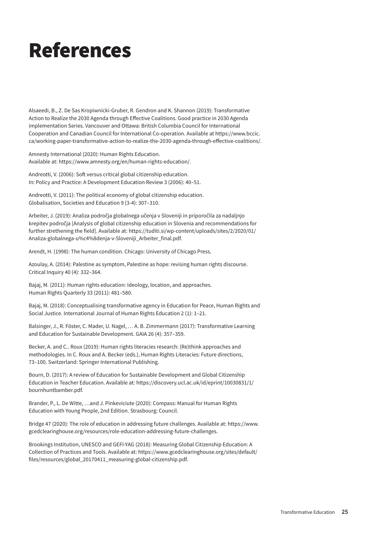### <span id="page-24-0"></span>References

Alsaeedi, B., Z. De Sas Kropiwnicki-Gruber, R. Gendron and K. Shannon (2019): Transformative Action to Realize the 2030 Agenda through Effective Coalitions. Good practice in 2030 Agenda implementation Series. Vancouver and Ottawa: British Columbia Council for International Cooperation and Canadian Council for International Co-operation. Available at [https://www.bccic.](https://www.bccic.ca/working-paper-transformative-action-to-realize-the-2030-agenda-through-effective-coalitions/) [ca/working-paper-transformative-action-to-realize-the-2030-agenda-through-effective-coalitions/](https://www.bccic.ca/working-paper-transformative-action-to-realize-the-2030-agenda-through-effective-coalitions/).

Amnesty International (2020): Human Rights Education. Available at: [https://www.amnesty.org/en/human-rights-education/.](https://www.amnesty.org/en/human-rights-education/)

Andreotti, V. (2006): Soft versus critical global citizenship education. In: Policy and Practice: A Development Education Review 3 (2006): 40–51.

Andreotti, V. (2011): The political economy of global citizenship education. Globalisation, Societies and Education 9 (3-4): 307–310.

Arbeiter, J. (2019): Analiza področja globalnega učenja v Sloveniji in priporočila za nadaljnjo krepitev področja [Analysis of global citizenship education in Slovenia and recommendations for further strethening the field]. Available at: [https://tuditi.si/wp-content/uploads/sites/2/2020/01/](https://tuditi.si/wp-content/uploads/sites/2/2020/01/Analiza-globalnega-u%c4%8denja-v-Sloveniji_Arbeiter_final.pdf) [Analiza-globalnega-u%c4%8denja-v-Sloveniji\\_Arbeiter\\_final.pdf](https://tuditi.si/wp-content/uploads/sites/2/2020/01/Analiza-globalnega-u%c4%8denja-v-Sloveniji_Arbeiter_final.pdf).

Arendt, H. (1998): The human condition. Chicago: University of Chicago Press.

Azoulay, A. (2014): Palestine as symptom, Palestine as hope: revising human rights discourse. Critical Inquiry 40 (4): 332–364.

Bajaj, M. (2011): Human rights education: Ideology, location, and approaches. Human Rights Quarterly 33 (2011): 481–580.

Bajaj, M. (2018): Conceptualising transformative agency in Education for Peace, Human Rights and Social Justice. International Journal of Human Rights Education 2 (1): 1–21.

Balsinger, J., R. Föster, C. Mader, U. Nagel, … A. B. Zimmermann (2017): Transformative Learning and Education for Sustainable Development. GAIA 26 (4): 357–359.

Becker, A. and C.. Roux (2019): Human rights literacies research: (Re)think approaches and methodologies. In C. Roux and A. Becker (eds.), Human Rights Literacies: Future directions, 73–100. Switzerland: Springer International Publishing.

Bourn, D. (2017): A review of Education for Sustainable Development and Global Citizenship Education in Teacher Education. Available at: [https://discovery.ucl.ac.uk/id/eprint/10030831/1/](https://discovery.ucl.ac.uk/id/eprint/10030831/1/bournhuntbamber.pdf) [bournhuntbamber.pdf](https://discovery.ucl.ac.uk/id/eprint/10030831/1/bournhuntbamber.pdf).

Brander, P., L. De Witte, …and J. Pinkeviciute (2020): Compass: Manual for Human Rights Education with Young People, 2nd Edition. Strasbourg: Council.

Bridge 47 (2020): The role of education in addressing future challenges. Available at: [https://www.](https://www.gcedclearinghouse.org/resources/role-education-addressing-future-challenges) [gcedclearinghouse.org/resources/role-education-addressing-future-challenges.](https://www.gcedclearinghouse.org/resources/role-education-addressing-future-challenges)

Brookings Institution, UNESCO and GEFI-YAG (2018): Measuring Global Citizenship Education: A Collection of Practices and Tools. Available at: [https://www.gcedclearinghouse.org/sites/default/](https://www.gcedclearinghouse.org/sites/default/files/resources/global_20170411_measuring-global-citizenship.pdf) [files/resources/global\\_20170411\\_measuring-global-citizenship.pdf](https://www.gcedclearinghouse.org/sites/default/files/resources/global_20170411_measuring-global-citizenship.pdf).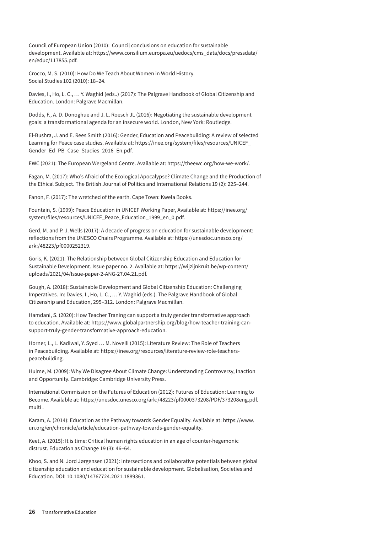Council of European Union (2010): Council conclusions on education for sustainable development. Available at: [https://www.consilium.europa.eu/uedocs/cms\\_data/docs/pressdata/](https://www.consilium.europa.eu/uedocs/cms_data/docs/pressdata/en/educ/117855.pdf) [en/educ/117855.pdf](https://www.consilium.europa.eu/uedocs/cms_data/docs/pressdata/en/educ/117855.pdf).

Crocco, M. S. (2010): How Do We Teach About Women in World History. Social Studies 102 (2010): 18–24.

Davies, I., Ho, L. C., … Y. Waghid (eds..) (2017): The Palgrave Handbook of Global Citizenship and Education. London: Palgrave Macmillan.

Dodds, F., A. D. Donoghue and J. L. Roesch JL (2016): Negotiating the sustainable development goals: a transformational agenda for an insecure world. London, New York: Routledge.

El-Bushra, J. and E. Rees Smith (2016): Gender, Education and Peacebuilding: A review of selected Learning for Peace case studies. Available at: [https://inee.org/system/files/resources/UNICEF\\_](https://inee.org/system/files/resources/UNICEF_Gender_Ed_PB_Case_Studies_2016_En.pdf) [Gender\\_Ed\\_PB\\_Case\\_Studies\\_2016\\_En.pdf.](https://inee.org/system/files/resources/UNICEF_Gender_Ed_PB_Case_Studies_2016_En.pdf)

EWC (2021): The European Wergeland Centre. Available at: [https://theewc.org/how-we-work/.](https://theewc.org/how-we-work/)

Fagan, M. (2017): Who's Afraid of the Ecological Apocalypse? Climate Change and the Production of the Ethical Subject. The British Journal of Politics and International Relations 19 (2): 225–244.

Fanon, F. (2017): The wretched of the earth. Cape Town: Kwela Books.

Fountain, S. (1999): Peace Education in UNICEF Working Paper, Available at: [https://inee.org/](https://inee.org/system/files/resources/UNICEF_Peace_Education_1999_en_0.pdf) [system/files/resources/UNICEF\\_Peace\\_Education\\_1999\\_en\\_0.pdf.](https://inee.org/system/files/resources/UNICEF_Peace_Education_1999_en_0.pdf)

Gerd, M. and P. J. Wells (2017): A decade of progress on education for sustainable development: reflections from the UNESCO Chairs Programme. Available at: [https://unesdoc.unesco.org/](https://unesdoc.unesco.org/ark:/48223/pf0000252319) [ark:/48223/pf0000252319.](https://unesdoc.unesco.org/ark:/48223/pf0000252319)

Goris, K. (2021): The Relationship between Global Citizenship Education and Education for Sustainable Development. Issue paper no. 2. Available at: [https://wijzijnkruit.be/wp-content/](https://wijzijnkruit.be/wp-content/uploads/2021/04/Issue-paper-2-ANG-27.04.21.pdf) [uploads/2021/04/Issue-paper-2-ANG-27.04.21.pdf.](https://wijzijnkruit.be/wp-content/uploads/2021/04/Issue-paper-2-ANG-27.04.21.pdf)

Gough, A. (2018): Sustainable Development and Global Citizenship Education: Challenging Imperatives. In: Davies, I., Ho, L. C., … Y. Waghid (eds.). The Palgrave Handbook of Global Citizenship and Education, 295–312. London: Palgrave Macmillan.

Hamdani, S. (2020): How Teacher Traning can support a truly gender transformative approach to education. Available at: [https://www.globalpartnership.org/blog/how-teacher-training-can](https://www.globalpartnership.org/blog/how-teacher-training-can-support-truly-gender-transformative-approach-education)[support-truly-gender-transformative-approach-education](https://www.globalpartnership.org/blog/how-teacher-training-can-support-truly-gender-transformative-approach-education).

Horner, L., L. Kadiwal, Y. Syed … M. Novelli (2015): Literature Review: The Role of Teachers in Peacebuilding. Available at: [https://inee.org/resources/literature-review-role-teachers](https://inee.org/resources/literature-review-role-teachers-peacebuilding)[peacebuilding.](https://inee.org/resources/literature-review-role-teachers-peacebuilding)

Hulme, M. (2009): Why We Disagree About Climate Change: Understanding Controversy, Inaction and Opportunity. Cambridge: Cambridge University Press.

International Commission on the Futures of Education (2012): Futures of Education: Learning to Become. Available at: [https://unesdoc.unesco.org/ark:](https://unesdoc.unesco.org/ark)/48223/pf0000373208/PDF/373208eng.pdf. multi .

Karam, A. (2014): Education as the Pathway towards Gender Equality. Available at: [https://www.](https://www.un.org/en/chronicle/article/education-pathway-towards-gender-equality) [un.org/en/chronicle/article/education-pathway-towards-gender-equality.](https://www.un.org/en/chronicle/article/education-pathway-towards-gender-equality)

Keet, A. (2015): It is time: Critical human rights education in an age of counter-hegemonic distrust. Education as Change 19 (3): 46–64.

Khoo, S. and N. Jord Jørgensen (2021): Intersections and collaborative potentials between global citizenship education and education for sustainable development. Globalisation, Societies and Education. DOI: 10.1080/14767724.2021.1889361.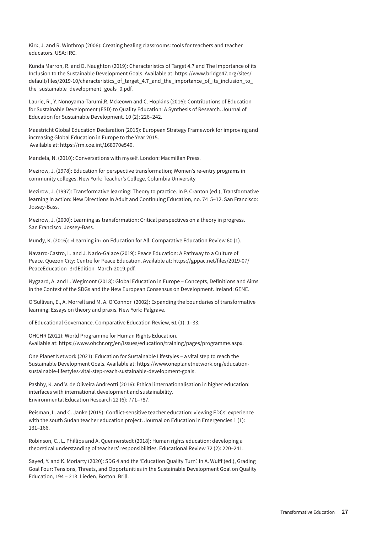Kirk, J. and R. Winthrop (2006): Creating healing classrooms: tools for teachers and teacher educators. USA: IRC.

Kunda Marron, R. and D. Naughton (2019): Characteristics of Target 4.7 and The Importance of its Inclusion to the Sustainable Development Goals. Available at: [https://www.bridge47.org/sites/](https://www.bridge47.org/sites/default/files/2019-10/characteristics_of_target_4.7_and_the_importance_of_its_inclusion_to_the_sustainable_development_goals_0.pdf) [default/files/2019-10/characteristics\\_of\\_target\\_4.7\\_and\\_the\\_importance\\_of\\_its\\_inclusion\\_to\\_](https://www.bridge47.org/sites/default/files/2019-10/characteristics_of_target_4.7_and_the_importance_of_its_inclusion_to_the_sustainable_development_goals_0.pdf) the sustainable development goals 0.pdf.

Laurie, R., Y. Nonoyama-Tarumi,R. Mckeown and C. Hopkins (2016): Contributions of Education for Sustainable Development (ESD) to Quality Education: A Synthesis of Research. Journal of Education for Sustainable Development. 10 (2): 226–242.

Maastricht Global Education Declaration (2015): European Strategy Framework for improving and increasing Global Education in Europe to the Year 2015. Available at: <https://rm.coe.int/168070e540>.

Mandela, N. (2010): Conversations with myself. London: Macmillan Press.

Mezirow, J. (1978): Education for perspective transformation; Women's re-entry programs in community colleges. New York: Teacher's College, Columbia University

Mezirow, J. (1997): Transformative learning: Theory to practice. In P. Cranton (ed.), Transformative learning in action: New Directions in Adult and Continuing Education, no. 74 5–12. San Francisco: Jossey-Bass.

Mezirow, J. (2000): Learning as transformation: Critical perspectives on a theory in progress. San Francisco: Jossey-Bass.

Mundy, K. (2016): »Learning in« on Education for All. Comparative Education Review 60 (1).

Navarro-Castro, L. and J. Nario-Galace (2019): Peace Education: A Pathway to a Culture of Peace. Quezon City: Centre for Peace Education. Available at: [https://gppac.net/files/2019-07/](https://gppac.net/files/2019-07/PeaceEducation_3rdEdition_March-2019.pdf) [PeaceEducation\\_3rdEdition\\_March-2019.pdf](https://gppac.net/files/2019-07/PeaceEducation_3rdEdition_March-2019.pdf).

Nygaard, A. and L. Wegimont (2018): Global Education in Europe – Concepts, Definitions and Aims in the Context of the SDGs and the New European Consensus on Development. Ireland: GENE.

O'Sullivan, E., A. Morrell and M. A. O'Connor (2002): Expanding the boundaries of transformative learning: Essays on theory and praxis. New York: Palgrave.

of Educational Governance. Comparative Education Review, 61 (1): 1–33.

OHCHR (2021): World Programme for Human Rights Education. Available at: [https://www.ohchr.org/en/issues/education/training/pages/programme.aspx.](https://www.ohchr.org/en/issues/education/training/pages/programme.aspx)

One Planet Network (2021): Education for Sustainable Lifestyles – a vital step to reach the Sustainable Development Goals. Available at: [https://www.oneplanetnetwork.org/education](https://www.oneplanetnetwork.org/education-sustainable-lifestyles-vital-step-reach-sustainable-development-goals)[sustainable-lifestyles-vital-step-reach-sustainable-development-goals.](https://www.oneplanetnetwork.org/education-sustainable-lifestyles-vital-step-reach-sustainable-development-goals)

Pashby, K. and V. de Oliveira Andreotti (2016): Ethical internationalisation in higher education: interfaces with international development and sustainability. Environmental Education Research 22 (6): 771–787.

Reisman, L. and C. Janke (2015): Conflict-sensitive teacher education: viewing EDCs' experience with the south Sudan teacher education project. Journal on Education in Emergencies 1 (1): 131–166.

Robinson, C., L. Phillips and A. Quennerstedt (2018): Human rights education: developing a theoretical understanding of teachers' responsibilities. Educational Review 72 (2): 220–241.

Sayed, Y. and K. Moriarty (2020): SDG 4 and the 'Education Quality Turn'. In A. Wulff (ed.), Grading Goal Four: Tensions, Threats, and Opportunities in the Sustainable Development Goal on Quality Education, 194 – 213. Lieden, Boston: Brill.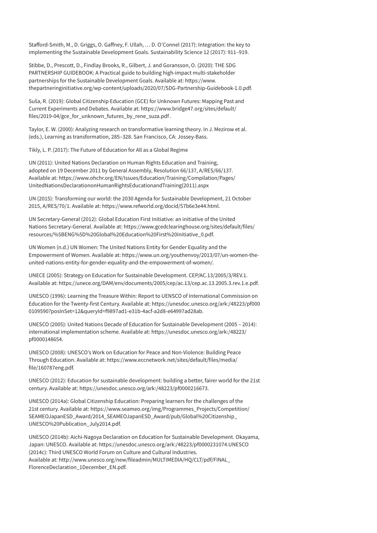Stafford-Smith, M., D. Griggs, O. Gaffney, F. Ullah, … D. O'Connel (2017): Integration: the key to implementing the Sustainable Development Goals. Sustainability Science 12 (2017): 911–919.

Stibbe, D., Prescott, D., Findlay Brooks, R., Gilbert, J. and Goransson, O. (2020): THE SDG PARTNERSHIP GUIDEBOOK: A Practical guide to building high-impact multi-stakeholder partnerships for the Sustainable Development Goals. Available at: [https://www.](https://www.thepartneringinitiative.org/wp-content/uploads/2020/07/SDG-Partnership-Guidebook-1.0.pdf) [thepartneringinitiative.org/wp-content/uploads/2020/07/SDG-Partnership-Guidebook-1.0.pdf](https://www.thepartneringinitiative.org/wp-content/uploads/2020/07/SDG-Partnership-Guidebook-1.0.pdf).

Suša, R. (2019): Global Citizenship Education (GCE) for Unknown Futures: Mapping Past and Current Experiments and Debates. Available at: [https://www.bridge47.org/sites/default/](https://www.bridge47.org/sites/default/files/2019-04/gce_for_unknown_futures_by_rene_suza.pdf) [files/2019-04/gce\\_for\\_unknown\\_futures\\_by\\_rene\\_suza.pdf](https://www.bridge47.org/sites/default/files/2019-04/gce_for_unknown_futures_by_rene_suza.pdf) .

Taylor, E. W. (2000): Analyzing research on transformative learning theory. In J. Mezirow et al. (eds.), Learning as transformation, 285–328. San Francisco, CA: Jossey-Bass.

Tikly, L. P. (2017): The Future of Education for All as a Global Regime

UN (2011): United Nations Declaration on Human Rights Education and Training, adopted on 19 December 2011 by General Assembly, Resolution 66/137, A/RES/66/137. Available at: [https://www.ohchr.org/EN/Issues/Education/Training/Compilation/Pages/](https://www.ohchr.org/EN/Issues/Education/Training/Compilation/Pages/UnitedNationsDeclarationonHumanRightsEducationandTraining(2011).aspx) [UnitedNationsDeclarationonHumanRightsEducationandTraining\(2011\).aspx](https://www.ohchr.org/EN/Issues/Education/Training/Compilation/Pages/UnitedNationsDeclarationonHumanRightsEducationandTraining(2011).aspx)

UN (2015): Transforming our world: the 2030 Agenda for Sustainable Development, 21 October 2015, A/RES/70/1. Available at:<https://www.refworld.org/docid/57b6e3e44.html>.

UN Secretary-General (2012): Global Education First Initiative: an initiative of the United Nations Secretary-General. Available at: [https://www.gcedclearinghouse.org/sites/default/files/](https://www.gcedclearinghouse.org/sites/default/files/resources/%5BENG%5D%20Global%20Education%20First%20Initiative_0.pdf) [resources/%5BENG%5D%20Global%20Education%20First%20Initiative\\_0.pdf](https://www.gcedclearinghouse.org/sites/default/files/resources/%5BENG%5D%20Global%20Education%20First%20Initiative_0.pdf).

UN Women (n.d.) UN Women: The United Nations Entity for Gender Equality and the Empowerment of Women. Available at: [https://www.un.org/youthenvoy/2013/07/un-women-the](https://www.un.org/youthenvoy/2013/07/un-women-the-united-nations-entity-for-gender-equality-and-the-empowerment-of-women/)[united-nations-entity-for-gender-equality-and-the-empowerment-of-women/.](https://www.un.org/youthenvoy/2013/07/un-women-the-united-nations-entity-for-gender-equality-and-the-empowerment-of-women/)

UNECE (2005): Strategy on Education for Sustainable Development. CEP/AC.13/2005/3/REV.1. Available at: [https://unece.org/DAM/env/documents/2005/cep/ac.13/cep.ac.13.2005.3.rev.1.e.pdf.](https://unece.org/DAM/env/documents/2005/cep/ac.13/cep.ac.13.2005.3.rev.1.e.pdf)

UNESCO (1996): Learning the Treasure Within: Report to UENSCO of International Commission on Education for the Twenty-first Century. Available at: [https://unesdoc.unesco.org/ark:/48223/pf000](https://unesdoc.unesco.org/ark:/48223/pf0000109590?posInSet=12&queryId=f9897ad1-e31b-4acf-a2d8-e64997ad28ab) [0109590?posInSet=12&queryId=f9897ad1-e31b-4acf-a2d8-e64997ad28ab](https://unesdoc.unesco.org/ark:/48223/pf0000109590?posInSet=12&queryId=f9897ad1-e31b-4acf-a2d8-e64997ad28ab).

UNESCO (2005): United Nations Decade of Education for Sustainable Development (2005 – 2014): international implementation scheme. Available at: [https://unesdoc.unesco.org/ark:/48223/](https://unesdoc.unesco.org/ark:/48223/pf0000148654) [pf0000148654.](https://unesdoc.unesco.org/ark:/48223/pf0000148654)

UNESCO (2008): UNESCO's Work on Education for Peace and Non-Violence: Building Peace Through Education. Available at: [https://www.eccnetwork.net/sites/default/files/media/](https://www.eccnetwork.net/sites/default/files/media/file/160787eng.pdf) [file/160787eng.pdf](https://www.eccnetwork.net/sites/default/files/media/file/160787eng.pdf).

UNESCO (2012): Education for sustainable development: building a better, fairer world for the 21st century. Available at: [https://unesdoc.unesco.org/ark:/48223/pf0000216673.](https://unesdoc.unesco.org/ark:/48223/pf0000216673)

UNESCO (2014a): Global Citizenship Education: Preparing learners for the challenges of the 21st century. Available at: [https://www.seameo.org/img/Programmes\\_Projects/Competition/](https://www.seameo.org/img/Programmes_Projects/Competition/SEAMEOJapanESD_Award/2014_SEAMEOJapanESD_Award/pub/Global%20Citizenship_UNESCO%20Publication_July2014.pdf) [SEAMEOJapanESD\\_Award/2014\\_SEAMEOJapanESD\\_Award/pub/Global%20Citizenship\\_](https://www.seameo.org/img/Programmes_Projects/Competition/SEAMEOJapanESD_Award/2014_SEAMEOJapanESD_Award/pub/Global%20Citizenship_UNESCO%20Publication_July2014.pdf) [UNESCO%20Publication\\_July2014.pdf](https://www.seameo.org/img/Programmes_Projects/Competition/SEAMEOJapanESD_Award/2014_SEAMEOJapanESD_Award/pub/Global%20Citizenship_UNESCO%20Publication_July2014.pdf).

UNESCO (2014b): Aichi-Nagoya Declaration on Education for Sustainable Development. Okayama, Japan: UNESCO. Available at: [https://unesdoc.unesco.org/ark:/48223/pf0000231074.](https://unesdoc.unesco.org/ark:/48223/pf0000231074)UNESCO (2014c): Third UNESCO World Forum on Culture and Cultural Industries. Available at: [http://www.unesco.org/new/fileadmin/MULTIMEDIA/HQ/CLT/pdf/FINAL\\_](http://www.unesco.org/new/fileadmin/MULTIMEDIA/HQ/CLT/pdf/FINAL_FlorenceDeclaration_1December_EN.pdf) [FlorenceDeclaration\\_1December\\_EN.pdf.](http://www.unesco.org/new/fileadmin/MULTIMEDIA/HQ/CLT/pdf/FINAL_FlorenceDeclaration_1December_EN.pdf)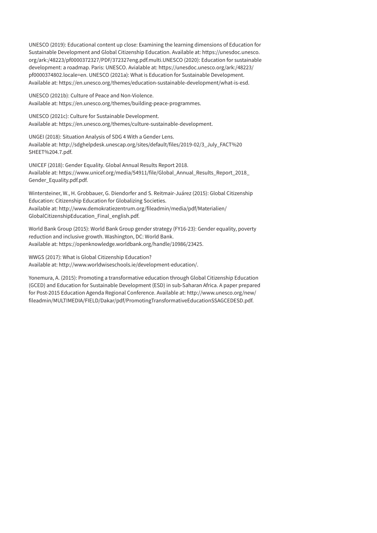UNESCO (2019): Educational content up close: Examining the learning dimensions of Education for Sustainable Development and Global Citizenship Education. Available at: [https://unesdoc.unesco.](https://unesdoc.unesco.org/ark) [org/ark](https://unesdoc.unesco.org/ark):/48223/pf0000372327/PDF/372327eng.pdf.multi.UNESCO (2020): Education for sustainable development: a roadmap. Paris: UNESCO. Avialable at: [https://unesdoc.unesco.org/ark:/48223/](https://unesdoc.unesco.org/ark:/48223/pf0000374802.locale=en) [pf0000374802.locale=en](https://unesdoc.unesco.org/ark:/48223/pf0000374802.locale=en). UNESCO (2021a): What is Education for Sustainable Development. Available at: [https://en.unesco.org/themes/education-sustainable-development/what-is-esd.](https://en.unesco.org/themes/education-sustainable-development/what-is-esd)

UNESCO (2021b): Culture of Peace and Non-Violence. Available at: [https://en.unesco.org/themes/building-peace-programmes.](https://en.unesco.org/themes/building-peace-programmes)

UNESCO (2021c): Culture for Sustainable Development. Available at: <https://en.unesco.org/themes/culture-sustainable-development>.

UNGEI (2018): Situation Analysis of SDG 4 With a Gender Lens. Available at: [http://sdghelpdesk.unescap.org/sites/default/files/2019-02/3\\_July\\_FACT%20](http://sdghelpdesk.unescap.org/sites/default/files/2019-02/3_July_FACT%20SHEET%204.7.pdf) [SHEET%204.7.pdf](http://sdghelpdesk.unescap.org/sites/default/files/2019-02/3_July_FACT%20SHEET%204.7.pdf).

UNICEF (2018): Gender Equality. Global Annual Results Report 2018. Available at: [https://www.unicef.org/media/54911/file/Global\\_Annual\\_Results\\_Report\\_2018\\_](https://www.unicef.org/media/54911/file/Global_Annual_Results_Report_2018_Gender_Equality.pdf.pdf) [Gender\\_Equality.pdf.pdf.](https://www.unicef.org/media/54911/file/Global_Annual_Results_Report_2018_Gender_Equality.pdf.pdf)

Wintersteiner, W., H. Grobbauer, G. Diendorfer and S. Reitmair-Juárez (2015): Global Citizenship Education: Citizenship Education for Globalizing Societies. Available at: [http://www.demokratiezentrum.org/fileadmin/media/pdf/Materialien/](http://www.demokratiezentrum.org/fileadmin/media/pdf/Materialien/GlobalCitizenshipEducation_Final_english.pdf) [GlobalCitizenshipEducation\\_Final\\_english.pdf](http://www.demokratiezentrum.org/fileadmin/media/pdf/Materialien/GlobalCitizenshipEducation_Final_english.pdf).

World Bank Group (2015): World Bank Group gender strategy (FY16-23): Gender equality, poverty reduction and inclusive growth. Washington, DC: World Bank. Available at: <https://openknowledge.worldbank.org/handle/10986/23425>.

WWGS (2017): What is Global Citizenship Education? Available at: <http://www.worldwiseschools.ie/development-education/>.

Yonemura, A. (2015): Promoting a transformative education through Global Citizenship Education (GCED) and Education for Sustainable Development (ESD) in sub-Saharan Africa. A paper prepared for Post-2015 Education Agenda Regional Conference. Available at: [http://www.unesco.org/new/](http://www.unesco.org/new/fileadmin/MULTIMEDIA/FIELD/Dakar/pdf/PromotingTransformativeEducationSSAGCEDESD.pdf) [fileadmin/MULTIMEDIA/FIELD/Dakar/pdf/PromotingTransformativeEducationSSAGCEDESD.pdf.](http://www.unesco.org/new/fileadmin/MULTIMEDIA/FIELD/Dakar/pdf/PromotingTransformativeEducationSSAGCEDESD.pdf)